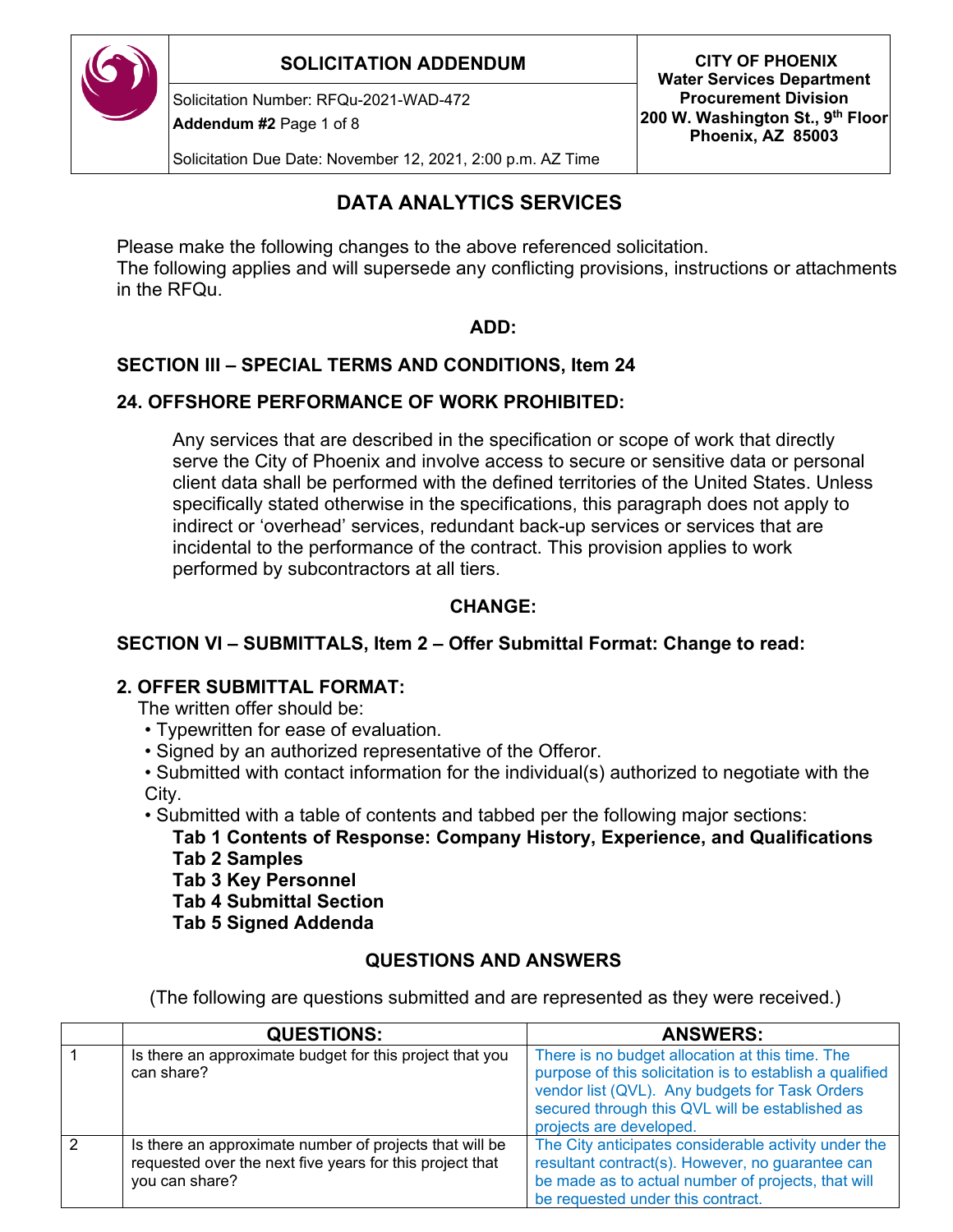

## **SOLICITATION ADDENDUM CITY OF PHOENIX**

Solicitation Number: RFQu-2021-WAD-472

**Addendum #2** Page 1 of 8

**Water Services Department Procurement Division 200 W. Washington St., 9th Floor Phoenix, AZ 85003**

Solicitation Due Date: November 12, 2021, 2:00 p.m. AZ Time

# **DATA ANALYTICS SERVICES**

Please make the following changes to the above referenced solicitation.

The following applies and will supersede any conflicting provisions, instructions or attachments in the RFQu.

#### **ADD:**

## **SECTION III – SPECIAL TERMS AND CONDITIONS, Item 24**

#### **24. OFFSHORE PERFORMANCE OF WORK PROHIBITED:**

Any services that are described in the specification or scope of work that directly serve the City of Phoenix and involve access to secure or sensitive data or personal client data shall be performed with the defined territories of the United States. Unless specifically stated otherwise in the specifications, this paragraph does not apply to indirect or 'overhead' services, redundant back-up services or services that are incidental to the performance of the contract. This provision applies to work performed by subcontractors at all tiers.

### **CHANGE:**

## **SECTION VI – SUBMITTALS, Item 2 – Offer Submittal Format: Change to read:**

## **2. OFFER SUBMITTAL FORMAT:**

The written offer should be:

- Typewritten for ease of evaluation.
- Signed by an authorized representative of the Offeror.

• Submitted with contact information for the individual(s) authorized to negotiate with the City.

• Submitted with a table of contents and tabbed per the following major sections:

**Tab 1 Contents of Response: Company History, Experience, and Qualifications Tab 2 Samples** 

**Tab 3 Key Personnel** 

**Tab 4 Submittal Section** 

**Tab 5 Signed Addenda**

## **QUESTIONS AND ANSWERS**

(The following are questions submitted and are represented as they were received.)

|   | <b>QUESTIONS:</b>                                                                                                                     | <b>ANSWERS:</b>                                                                                                                                                                                                                             |
|---|---------------------------------------------------------------------------------------------------------------------------------------|---------------------------------------------------------------------------------------------------------------------------------------------------------------------------------------------------------------------------------------------|
|   | Is there an approximate budget for this project that you<br>can share?                                                                | There is no budget allocation at this time. The<br>purpose of this solicitation is to establish a qualified<br>vendor list (QVL). Any budgets for Task Orders<br>secured through this QVL will be established as<br>projects are developed. |
| 2 | Is there an approximate number of projects that will be<br>requested over the next five years for this project that<br>you can share? | The City anticipates considerable activity under the<br>resultant contract(s). However, no guarantee can<br>be made as to actual number of projects, that will<br>be requested under this contract.                                         |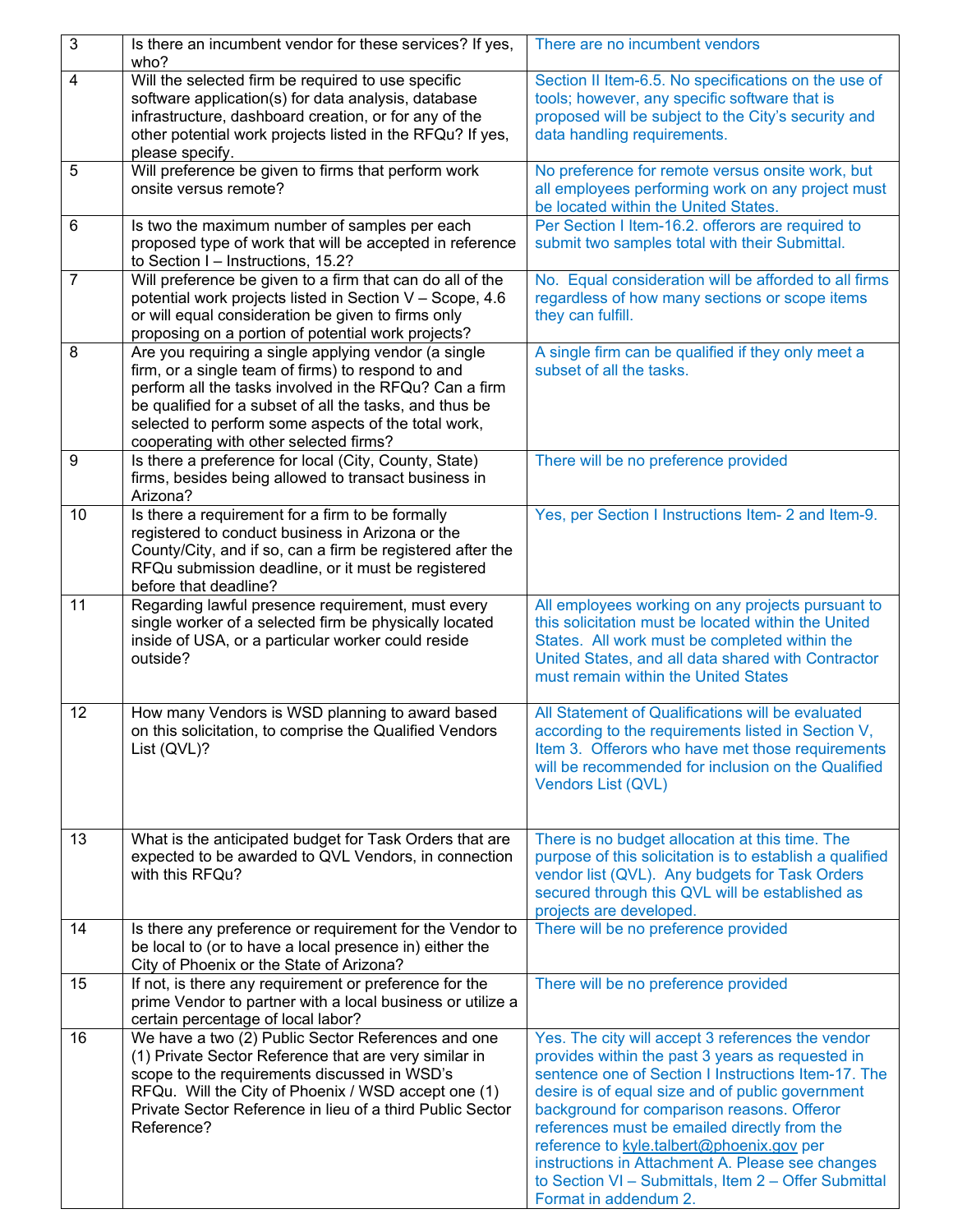| $\sqrt{3}$     | Is there an incumbent vendor for these services? If yes,<br>who?                                                                                                                                                                                                                                                                 | There are no incumbent vendors                                                                                                                                                                                                                                                                                                                                                                                                                                                                   |
|----------------|----------------------------------------------------------------------------------------------------------------------------------------------------------------------------------------------------------------------------------------------------------------------------------------------------------------------------------|--------------------------------------------------------------------------------------------------------------------------------------------------------------------------------------------------------------------------------------------------------------------------------------------------------------------------------------------------------------------------------------------------------------------------------------------------------------------------------------------------|
| $\overline{4}$ | Will the selected firm be required to use specific<br>software application(s) for data analysis, database<br>infrastructure, dashboard creation, or for any of the<br>other potential work projects listed in the RFQu? If yes,<br>please specify.                                                                               | Section II Item-6.5. No specifications on the use of<br>tools; however, any specific software that is<br>proposed will be subject to the City's security and<br>data handling requirements.                                                                                                                                                                                                                                                                                                      |
| 5              | Will preference be given to firms that perform work<br>onsite versus remote?                                                                                                                                                                                                                                                     | No preference for remote versus onsite work, but<br>all employees performing work on any project must<br>be located within the United States.                                                                                                                                                                                                                                                                                                                                                    |
| $6\phantom{1}$ | Is two the maximum number of samples per each<br>proposed type of work that will be accepted in reference<br>to Section I - Instructions, 15.2?                                                                                                                                                                                  | Per Section I Item-16.2. offerors are required to<br>submit two samples total with their Submittal.                                                                                                                                                                                                                                                                                                                                                                                              |
| 7              | Will preference be given to a firm that can do all of the<br>potential work projects listed in Section V - Scope, 4.6<br>or will equal consideration be given to firms only<br>proposing on a portion of potential work projects?                                                                                                | No. Equal consideration will be afforded to all firms<br>regardless of how many sections or scope items<br>they can fulfill.                                                                                                                                                                                                                                                                                                                                                                     |
| 8              | Are you requiring a single applying vendor (a single<br>firm, or a single team of firms) to respond to and<br>perform all the tasks involved in the RFQu? Can a firm<br>be qualified for a subset of all the tasks, and thus be<br>selected to perform some aspects of the total work,<br>cooperating with other selected firms? | A single firm can be qualified if they only meet a<br>subset of all the tasks.                                                                                                                                                                                                                                                                                                                                                                                                                   |
| 9              | Is there a preference for local (City, County, State)<br>firms, besides being allowed to transact business in<br>Arizona?                                                                                                                                                                                                        | There will be no preference provided                                                                                                                                                                                                                                                                                                                                                                                                                                                             |
| 10             | Is there a requirement for a firm to be formally<br>registered to conduct business in Arizona or the<br>County/City, and if so, can a firm be registered after the<br>RFQu submission deadline, or it must be registered<br>before that deadline?                                                                                | Yes, per Section I Instructions Item- 2 and Item-9.                                                                                                                                                                                                                                                                                                                                                                                                                                              |
| 11             | Regarding lawful presence requirement, must every<br>single worker of a selected firm be physically located<br>inside of USA, or a particular worker could reside<br>outside?                                                                                                                                                    | All employees working on any projects pursuant to<br>this solicitation must be located within the United<br>States. All work must be completed within the<br>United States, and all data shared with Contractor<br>must remain within the United States                                                                                                                                                                                                                                          |
| 12             | How many Vendors is WSD planning to award based<br>on this solicitation, to comprise the Qualified Vendors<br>List (QVL)?                                                                                                                                                                                                        | All Statement of Qualifications will be evaluated<br>according to the requirements listed in Section V,<br>Item 3. Offerors who have met those requirements<br>will be recommended for inclusion on the Qualified<br>Vendors List (QVL)                                                                                                                                                                                                                                                          |
| 13             | What is the anticipated budget for Task Orders that are<br>expected to be awarded to QVL Vendors, in connection<br>with this RFQu?                                                                                                                                                                                               | There is no budget allocation at this time. The<br>purpose of this solicitation is to establish a qualified<br>vendor list (QVL). Any budgets for Task Orders<br>secured through this QVL will be established as<br>projects are developed.                                                                                                                                                                                                                                                      |
| 14             | Is there any preference or requirement for the Vendor to<br>be local to (or to have a local presence in) either the<br>City of Phoenix or the State of Arizona?                                                                                                                                                                  | There will be no preference provided                                                                                                                                                                                                                                                                                                                                                                                                                                                             |
| 15             | If not, is there any requirement or preference for the<br>prime Vendor to partner with a local business or utilize a<br>certain percentage of local labor?                                                                                                                                                                       | There will be no preference provided                                                                                                                                                                                                                                                                                                                                                                                                                                                             |
| 16             | We have a two (2) Public Sector References and one<br>(1) Private Sector Reference that are very similar in<br>scope to the requirements discussed in WSD's<br>RFQu. Will the City of Phoenix / WSD accept one (1)<br>Private Sector Reference in lieu of a third Public Sector<br>Reference?                                    | Yes. The city will accept 3 references the vendor<br>provides within the past 3 years as requested in<br>sentence one of Section I Instructions Item-17. The<br>desire is of equal size and of public government<br>background for comparison reasons. Offeror<br>references must be emailed directly from the<br>reference to kyle.talbert@phoenix.gov per<br>instructions in Attachment A. Please see changes<br>to Section VI - Submittals, Item 2 - Offer Submittal<br>Format in addendum 2. |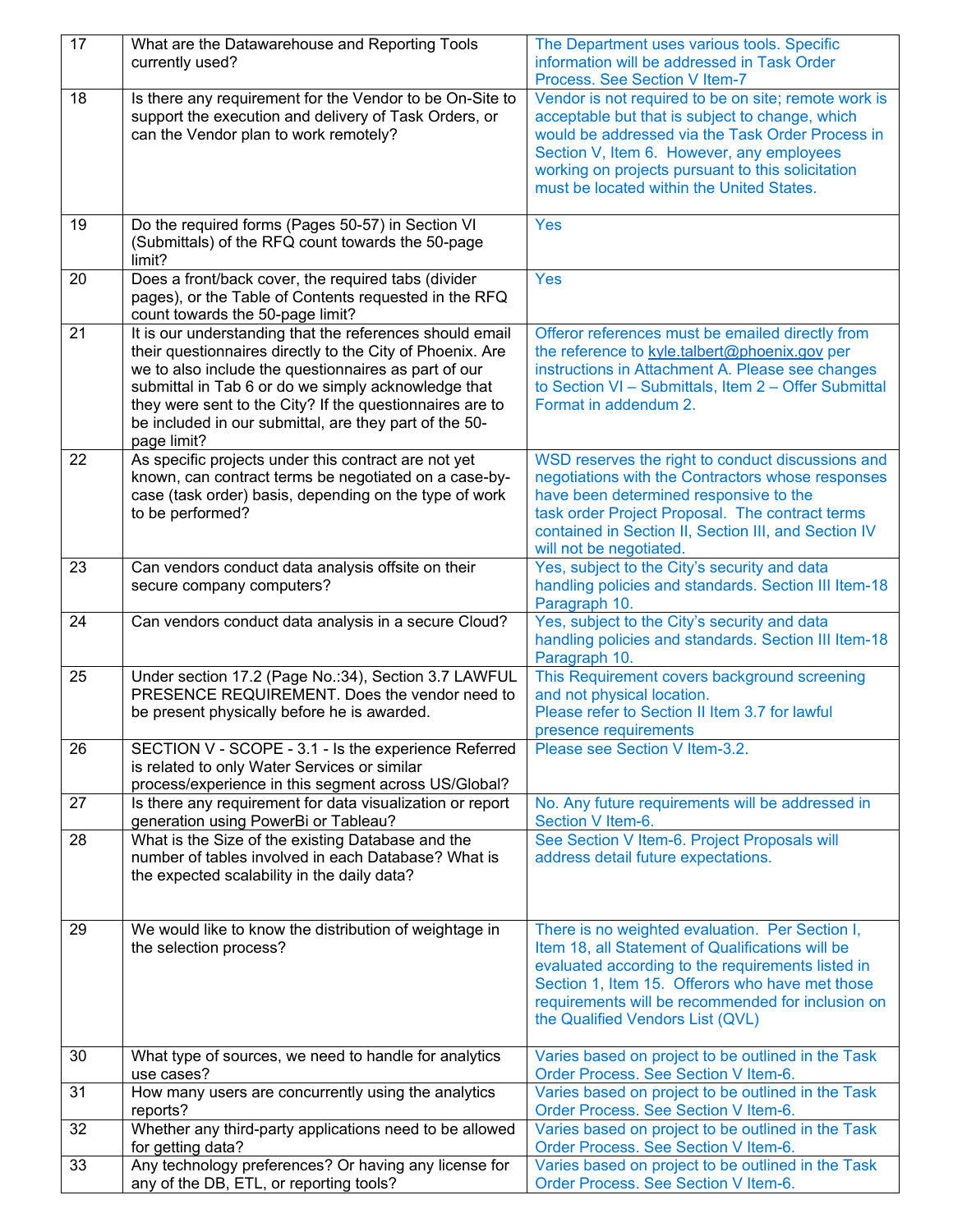| 17 | What are the Datawarehouse and Reporting Tools                                                                                                                                                                                                                                                                                                                            | The Department uses various tools. Specific                                                                                                                                                                                                                                                                |
|----|---------------------------------------------------------------------------------------------------------------------------------------------------------------------------------------------------------------------------------------------------------------------------------------------------------------------------------------------------------------------------|------------------------------------------------------------------------------------------------------------------------------------------------------------------------------------------------------------------------------------------------------------------------------------------------------------|
|    | currently used?                                                                                                                                                                                                                                                                                                                                                           | information will be addressed in Task Order<br>Process. See Section V Item-7                                                                                                                                                                                                                               |
| 18 | Is there any requirement for the Vendor to be On-Site to<br>support the execution and delivery of Task Orders, or<br>can the Vendor plan to work remotely?                                                                                                                                                                                                                | Vendor is not required to be on site; remote work is<br>acceptable but that is subject to change, which<br>would be addressed via the Task Order Process in<br>Section V, Item 6. However, any employees<br>working on projects pursuant to this solicitation<br>must be located within the United States. |
| 19 | Do the required forms (Pages 50-57) in Section VI<br>(Submittals) of the RFQ count towards the 50-page<br>limit?                                                                                                                                                                                                                                                          | <b>Yes</b>                                                                                                                                                                                                                                                                                                 |
| 20 | Does a front/back cover, the required tabs (divider<br>pages), or the Table of Contents requested in the RFQ<br>count towards the 50-page limit?                                                                                                                                                                                                                          | <b>Yes</b>                                                                                                                                                                                                                                                                                                 |
| 21 | It is our understanding that the references should email<br>their questionnaires directly to the City of Phoenix. Are<br>we to also include the questionnaires as part of our<br>submittal in Tab 6 or do we simply acknowledge that<br>they were sent to the City? If the questionnaires are to<br>be included in our submittal, are they part of the 50-<br>page limit? | Offeror references must be emailed directly from<br>the reference to kyle.talbert@phoenix.gov per<br>instructions in Attachment A. Please see changes<br>to Section VI - Submittals, Item 2 - Offer Submittal<br>Format in addendum 2.                                                                     |
| 22 | As specific projects under this contract are not yet<br>known, can contract terms be negotiated on a case-by-<br>case (task order) basis, depending on the type of work<br>to be performed?                                                                                                                                                                               | WSD reserves the right to conduct discussions and<br>negotiations with the Contractors whose responses<br>have been determined responsive to the<br>task order Project Proposal. The contract terms<br>contained in Section II, Section III, and Section IV<br>will not be negotiated.                     |
| 23 | Can vendors conduct data analysis offsite on their<br>secure company computers?                                                                                                                                                                                                                                                                                           | Yes, subject to the City's security and data<br>handling policies and standards. Section III Item-18<br>Paragraph 10.                                                                                                                                                                                      |
| 24 | Can vendors conduct data analysis in a secure Cloud?                                                                                                                                                                                                                                                                                                                      | Yes, subject to the City's security and data<br>handling policies and standards. Section III Item-18<br>Paragraph 10.                                                                                                                                                                                      |
| 25 | Under section 17.2 (Page No.:34), Section 3.7 LAWFUL<br>PRESENCE REQUIREMENT. Does the vendor need to<br>be present physically before he is awarded.                                                                                                                                                                                                                      | This Requirement covers background screening<br>and not physical location.<br>Please refer to Section II Item 3.7 for lawful<br>presence requirements                                                                                                                                                      |
| 26 | SECTION V - SCOPE - 3.1 - Is the experience Referred<br>is related to only Water Services or similar<br>process/experience in this segment across US/Global?                                                                                                                                                                                                              | Please see Section V Item-3.2.                                                                                                                                                                                                                                                                             |
| 27 | Is there any requirement for data visualization or report<br>generation using PowerBi or Tableau?                                                                                                                                                                                                                                                                         | No. Any future requirements will be addressed in<br>Section V Item-6.                                                                                                                                                                                                                                      |
| 28 | What is the Size of the existing Database and the<br>number of tables involved in each Database? What is<br>the expected scalability in the daily data?                                                                                                                                                                                                                   | See Section V Item-6. Project Proposals will<br>address detail future expectations.                                                                                                                                                                                                                        |
| 29 | We would like to know the distribution of weightage in<br>the selection process?                                                                                                                                                                                                                                                                                          | There is no weighted evaluation. Per Section I,<br>Item 18, all Statement of Qualifications will be<br>evaluated according to the requirements listed in<br>Section 1, Item 15. Offerors who have met those<br>requirements will be recommended for inclusion on<br>the Qualified Vendors List (QVL)       |
| 30 | What type of sources, we need to handle for analytics<br>use cases?                                                                                                                                                                                                                                                                                                       | Varies based on project to be outlined in the Task<br>Order Process. See Section V Item-6.                                                                                                                                                                                                                 |
| 31 | How many users are concurrently using the analytics<br>reports?                                                                                                                                                                                                                                                                                                           | Varies based on project to be outlined in the Task<br>Order Process. See Section V Item-6.                                                                                                                                                                                                                 |
| 32 | Whether any third-party applications need to be allowed<br>for getting data?                                                                                                                                                                                                                                                                                              | Varies based on project to be outlined in the Task<br>Order Process. See Section V Item-6.                                                                                                                                                                                                                 |
| 33 | Any technology preferences? Or having any license for<br>any of the DB, ETL, or reporting tools?                                                                                                                                                                                                                                                                          | Varies based on project to be outlined in the Task<br>Order Process. See Section V Item-6.                                                                                                                                                                                                                 |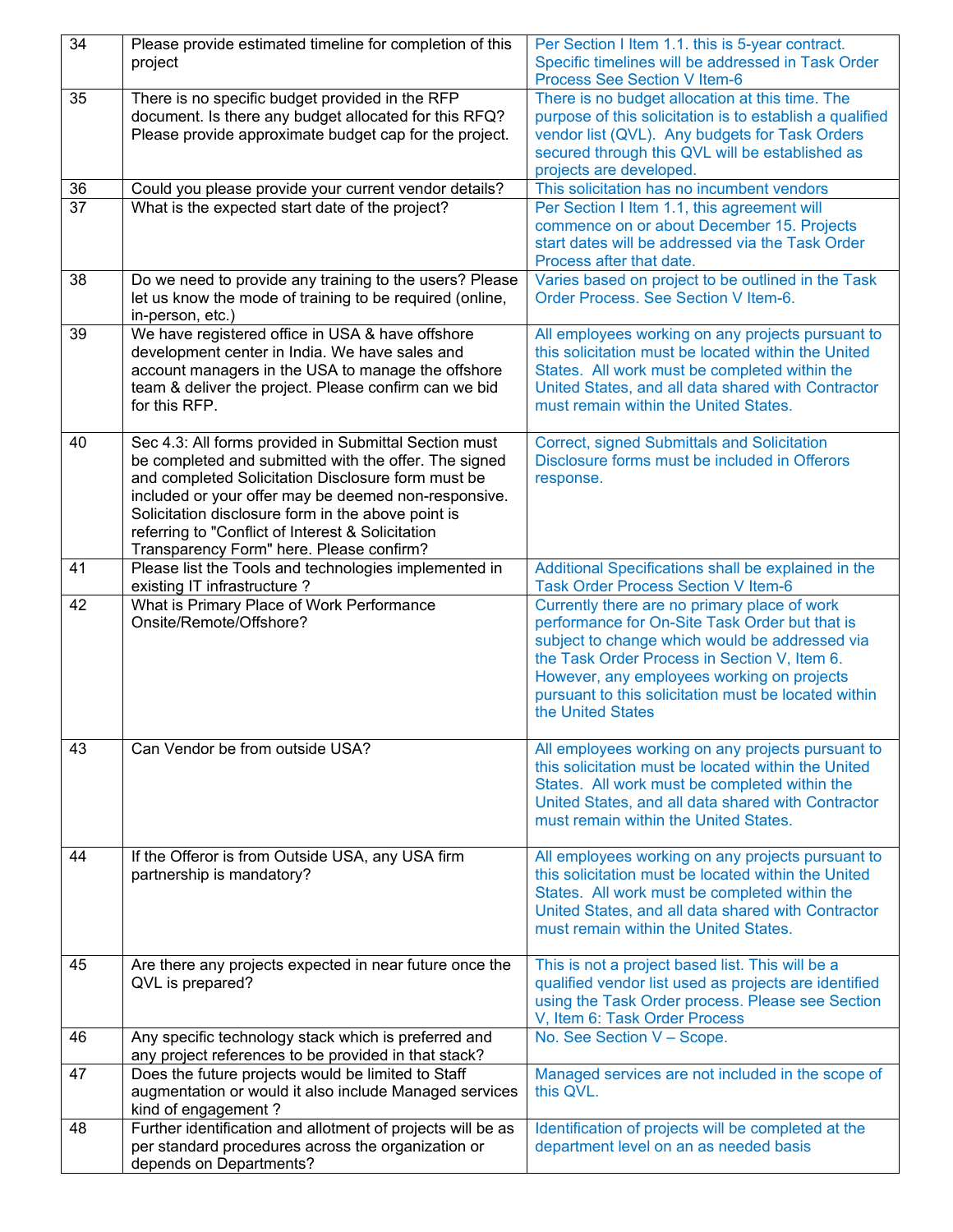| 34              | Please provide estimated timeline for completion of this    | Per Section I Item 1.1. this is 5-year contract.         |
|-----------------|-------------------------------------------------------------|----------------------------------------------------------|
|                 | project                                                     | Specific timelines will be addressed in Task Order       |
|                 |                                                             | Process See Section V Item-6                             |
| 35              | There is no specific budget provided in the RFP             | There is no budget allocation at this time. The          |
|                 | document. Is there any budget allocated for this RFQ?       | purpose of this solicitation is to establish a qualified |
|                 | Please provide approximate budget cap for the project.      | vendor list (QVL). Any budgets for Task Orders           |
|                 |                                                             | secured through this QVL will be established as          |
|                 |                                                             | projects are developed.                                  |
|                 |                                                             |                                                          |
| 36              | Could you please provide your current vendor details?       | This solicitation has no incumbent vendors               |
| $\overline{37}$ | What is the expected start date of the project?             | Per Section I Item 1.1, this agreement will              |
|                 |                                                             | commence on or about December 15. Projects               |
|                 |                                                             | start dates will be addressed via the Task Order         |
|                 |                                                             | Process after that date.                                 |
| 38              | Do we need to provide any training to the users? Please     | Varies based on project to be outlined in the Task       |
|                 | let us know the mode of training to be required (online,    | Order Process. See Section V Item-6.                     |
|                 | in-person, etc.)                                            |                                                          |
| 39              | We have registered office in USA & have offshore            | All employees working on any projects pursuant to        |
|                 | development center in India. We have sales and              | this solicitation must be located within the United      |
|                 | account managers in the USA to manage the offshore          | States. All work must be completed within the            |
|                 | team & deliver the project. Please confirm can we bid       | United States, and all data shared with Contractor       |
|                 | for this RFP.                                               | must remain within the United States.                    |
|                 |                                                             |                                                          |
|                 |                                                             |                                                          |
| 40              | Sec 4.3: All forms provided in Submittal Section must       | <b>Correct, signed Submittals and Solicitation</b>       |
|                 | be completed and submitted with the offer. The signed       | Disclosure forms must be included in Offerors            |
|                 | and completed Solicitation Disclosure form must be          | response.                                                |
|                 | included or your offer may be deemed non-responsive.        |                                                          |
|                 | Solicitation disclosure form in the above point is          |                                                          |
|                 | referring to "Conflict of Interest & Solicitation           |                                                          |
|                 | Transparency Form" here. Please confirm?                    |                                                          |
| 41              | Please list the Tools and technologies implemented in       | Additional Specifications shall be explained in the      |
|                 | existing IT infrastructure?                                 | <b>Task Order Process Section V Item-6</b>               |
| 42              | What is Primary Place of Work Performance                   | Currently there are no primary place of work             |
|                 | Onsite/Remote/Offshore?                                     | performance for On-Site Task Order but that is           |
|                 |                                                             | subject to change which would be addressed via           |
|                 |                                                             | the Task Order Process in Section V, Item 6.             |
|                 |                                                             | However, any employees working on projects               |
|                 |                                                             | pursuant to this solicitation must be located within     |
|                 |                                                             | the United States                                        |
|                 |                                                             |                                                          |
|                 |                                                             |                                                          |
| 43              | Can Vendor be from outside USA?                             | All employees working on any projects pursuant to        |
|                 |                                                             | this solicitation must be located within the United      |
|                 |                                                             | States. All work must be completed within the            |
|                 |                                                             | United States, and all data shared with Contractor       |
|                 |                                                             | must remain within the United States.                    |
|                 |                                                             |                                                          |
| 44              | If the Offeror is from Outside USA, any USA firm            | All employees working on any projects pursuant to        |
|                 | partnership is mandatory?                                   | this solicitation must be located within the United      |
|                 |                                                             | States. All work must be completed within the            |
|                 |                                                             | United States, and all data shared with Contractor       |
|                 |                                                             | must remain within the United States.                    |
|                 |                                                             |                                                          |
|                 |                                                             |                                                          |
| 45              | Are there any projects expected in near future once the     | This is not a project based list. This will be a         |
|                 | QVL is prepared?                                            | qualified vendor list used as projects are identified    |
|                 |                                                             | using the Task Order process. Please see Section         |
|                 |                                                             | V, Item 6: Task Order Process                            |
| 46              | Any specific technology stack which is preferred and        | No. See Section V - Scope.                               |
|                 | any project references to be provided in that stack?        |                                                          |
| 47              | Does the future projects would be limited to Staff          | Managed services are not included in the scope of        |
|                 | augmentation or would it also include Managed services      | this QVL.                                                |
|                 | kind of engagement?                                         |                                                          |
| 48              | Further identification and allotment of projects will be as | Identification of projects will be completed at the      |
|                 | per standard procedures across the organization or          | department level on an as needed basis                   |
|                 |                                                             |                                                          |
|                 | depends on Departments?                                     |                                                          |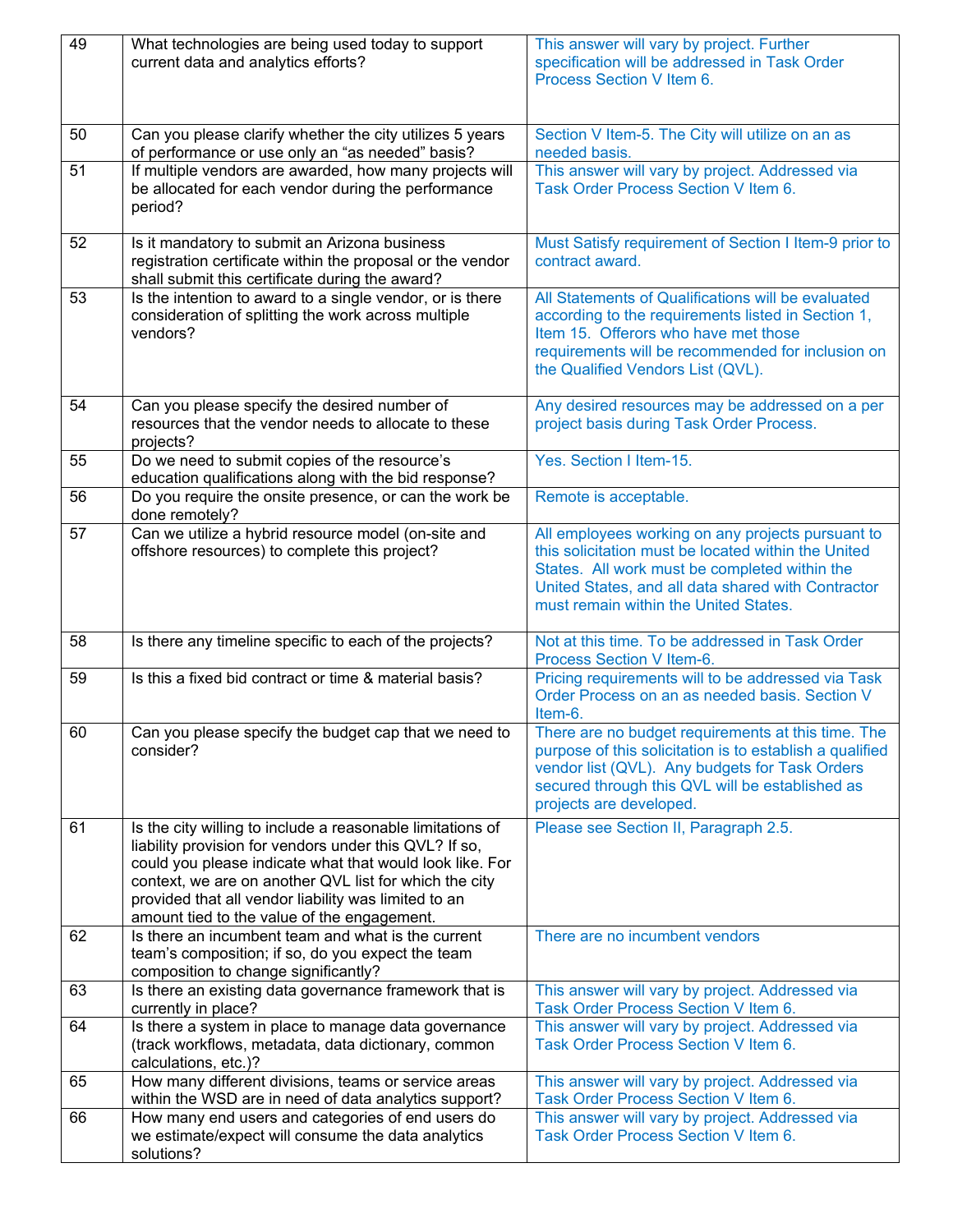| 49              | What technologies are being used today to support<br>current data and analytics efforts?                                                                                                                                                                                                                                                          | This answer will vary by project. Further<br>specification will be addressed in Task Order<br>Process Section V Item 6.                                                                                                                                  |
|-----------------|---------------------------------------------------------------------------------------------------------------------------------------------------------------------------------------------------------------------------------------------------------------------------------------------------------------------------------------------------|----------------------------------------------------------------------------------------------------------------------------------------------------------------------------------------------------------------------------------------------------------|
| 50              | Can you please clarify whether the city utilizes 5 years<br>of performance or use only an "as needed" basis?                                                                                                                                                                                                                                      | Section V Item-5. The City will utilize on an as<br>needed basis.                                                                                                                                                                                        |
| $\overline{51}$ | If multiple vendors are awarded, how many projects will<br>be allocated for each vendor during the performance<br>period?                                                                                                                                                                                                                         | This answer will vary by project. Addressed via<br>Task Order Process Section V Item 6.                                                                                                                                                                  |
| 52              | Is it mandatory to submit an Arizona business<br>registration certificate within the proposal or the vendor<br>shall submit this certificate during the award?                                                                                                                                                                                    | Must Satisfy requirement of Section I Item-9 prior to<br>contract award.                                                                                                                                                                                 |
| 53              | Is the intention to award to a single vendor, or is there<br>consideration of splitting the work across multiple<br>vendors?                                                                                                                                                                                                                      | All Statements of Qualifications will be evaluated<br>according to the requirements listed in Section 1,<br>Item 15. Offerors who have met those<br>requirements will be recommended for inclusion on<br>the Qualified Vendors List (QVL).               |
| 54              | Can you please specify the desired number of<br>resources that the vendor needs to allocate to these<br>projects?                                                                                                                                                                                                                                 | Any desired resources may be addressed on a per<br>project basis during Task Order Process.                                                                                                                                                              |
| 55              | Do we need to submit copies of the resource's<br>education qualifications along with the bid response?                                                                                                                                                                                                                                            | Yes. Section   Item-15.                                                                                                                                                                                                                                  |
| 56              | Do you require the onsite presence, or can the work be<br>done remotely?                                                                                                                                                                                                                                                                          | Remote is acceptable.                                                                                                                                                                                                                                    |
| 57              | Can we utilize a hybrid resource model (on-site and<br>offshore resources) to complete this project?                                                                                                                                                                                                                                              | All employees working on any projects pursuant to<br>this solicitation must be located within the United<br>States. All work must be completed within the<br>United States, and all data shared with Contractor<br>must remain within the United States. |
| 58              | Is there any timeline specific to each of the projects?                                                                                                                                                                                                                                                                                           | Not at this time. To be addressed in Task Order<br>Process Section V Item-6.                                                                                                                                                                             |
| 59              | Is this a fixed bid contract or time & material basis?                                                                                                                                                                                                                                                                                            | Pricing requirements will to be addressed via Task<br>Order Process on an as needed basis. Section V<br>Item-6.                                                                                                                                          |
| 60              | Can you please specify the budget cap that we need to<br>consider?                                                                                                                                                                                                                                                                                | There are no budget requirements at this time. The<br>purpose of this solicitation is to establish a qualified<br>vendor list (QVL). Any budgets for Task Orders<br>secured through this QVL will be established as<br>projects are developed.           |
| 61              | Is the city willing to include a reasonable limitations of<br>liability provision for vendors under this QVL? If so,<br>could you please indicate what that would look like. For<br>context, we are on another QVL list for which the city<br>provided that all vendor liability was limited to an<br>amount tied to the value of the engagement. | Please see Section II, Paragraph 2.5.                                                                                                                                                                                                                    |
| 62              | Is there an incumbent team and what is the current<br>team's composition; if so, do you expect the team<br>composition to change significantly?                                                                                                                                                                                                   | There are no incumbent vendors                                                                                                                                                                                                                           |
| 63              | Is there an existing data governance framework that is<br>currently in place?                                                                                                                                                                                                                                                                     | This answer will vary by project. Addressed via<br>Task Order Process Section V Item 6.                                                                                                                                                                  |
| 64              | Is there a system in place to manage data governance<br>(track workflows, metadata, data dictionary, common<br>calculations, etc.)?                                                                                                                                                                                                               | This answer will vary by project. Addressed via<br>Task Order Process Section V Item 6.                                                                                                                                                                  |
| 65              | How many different divisions, teams or service areas<br>within the WSD are in need of data analytics support?                                                                                                                                                                                                                                     | This answer will vary by project. Addressed via<br>Task Order Process Section V Item 6.                                                                                                                                                                  |
| 66              | How many end users and categories of end users do<br>we estimate/expect will consume the data analytics<br>solutions?                                                                                                                                                                                                                             | This answer will vary by project. Addressed via<br>Task Order Process Section V Item 6.                                                                                                                                                                  |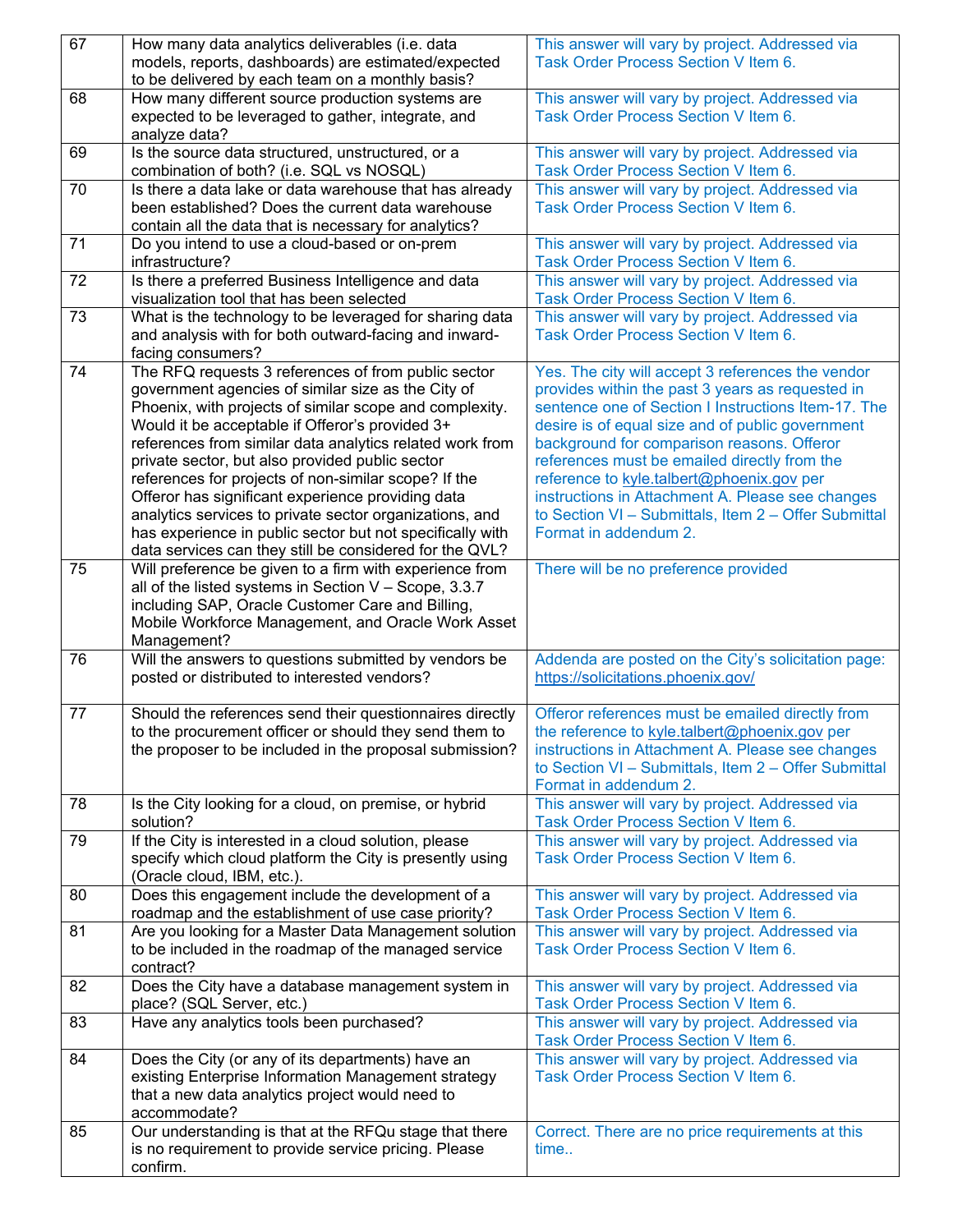| 67 | How many data analytics deliverables (i.e. data                                                             | This answer will vary by project. Addressed via                                                |
|----|-------------------------------------------------------------------------------------------------------------|------------------------------------------------------------------------------------------------|
|    | models, reports, dashboards) are estimated/expected                                                         | Task Order Process Section V Item 6.                                                           |
|    | to be delivered by each team on a monthly basis?                                                            |                                                                                                |
| 68 | How many different source production systems are                                                            | This answer will vary by project. Addressed via                                                |
|    | expected to be leveraged to gather, integrate, and                                                          | Task Order Process Section V Item 6.                                                           |
|    | analyze data?                                                                                               |                                                                                                |
| 69 | Is the source data structured, unstructured, or a                                                           | This answer will vary by project. Addressed via                                                |
|    | combination of both? (i.e. SQL vs NOSQL)                                                                    | Task Order Process Section V Item 6.                                                           |
| 70 | Is there a data lake or data warehouse that has already                                                     | This answer will vary by project. Addressed via                                                |
|    | been established? Does the current data warehouse                                                           | Task Order Process Section V Item 6.                                                           |
|    | contain all the data that is necessary for analytics?                                                       |                                                                                                |
| 71 | Do you intend to use a cloud-based or on-prem                                                               | This answer will vary by project. Addressed via                                                |
|    | infrastructure?                                                                                             | Task Order Process Section V Item 6.                                                           |
| 72 | Is there a preferred Business Intelligence and data                                                         | This answer will vary by project. Addressed via                                                |
|    | visualization tool that has been selected                                                                   | Task Order Process Section V Item 6.                                                           |
| 73 | What is the technology to be leveraged for sharing data                                                     | This answer will vary by project. Addressed via                                                |
|    | and analysis with for both outward-facing and inward-                                                       | Task Order Process Section V Item 6.                                                           |
|    | facing consumers?                                                                                           |                                                                                                |
| 74 | The RFQ requests 3 references of from public sector                                                         | Yes. The city will accept 3 references the vendor                                              |
|    | government agencies of similar size as the City of                                                          | provides within the past 3 years as requested in                                               |
|    | Phoenix, with projects of similar scope and complexity.                                                     | sentence one of Section I Instructions Item-17. The                                            |
|    | Would it be acceptable if Offeror's provided 3+<br>references from similar data analytics related work from | desire is of equal size and of public government<br>background for comparison reasons. Offeror |
|    | private sector, but also provided public sector                                                             | references must be emailed directly from the                                                   |
|    | references for projects of non-similar scope? If the                                                        | reference to kyle.talbert@phoenix.gov per                                                      |
|    | Offeror has significant experience providing data                                                           | instructions in Attachment A. Please see changes                                               |
|    | analytics services to private sector organizations, and                                                     | to Section VI - Submittals, Item 2 - Offer Submittal                                           |
|    | has experience in public sector but not specifically with                                                   | Format in addendum 2.                                                                          |
|    | data services can they still be considered for the QVL?                                                     |                                                                                                |
| 75 | Will preference be given to a firm with experience from                                                     | There will be no preference provided                                                           |
|    | all of the listed systems in Section V - Scope, 3.3.7                                                       |                                                                                                |
|    | including SAP, Oracle Customer Care and Billing,                                                            |                                                                                                |
|    | Mobile Workforce Management, and Oracle Work Asset                                                          |                                                                                                |
|    | Management?                                                                                                 |                                                                                                |
| 76 | Will the answers to questions submitted by vendors be                                                       | Addenda are posted on the City's solicitation page:                                            |
|    | posted or distributed to interested vendors?                                                                | https://solicitations.phoenix.gov/                                                             |
|    |                                                                                                             |                                                                                                |
| 77 | Should the references send their questionnaires directly                                                    | Offeror references must be emailed directly from                                               |
|    | to the procurement officer or should they send them to                                                      | the reference to kyle.talbert@phoenix.gov per                                                  |
|    | the proposer to be included in the proposal submission?                                                     | instructions in Attachment A. Please see changes                                               |
|    |                                                                                                             | to Section VI - Submittals, Item 2 - Offer Submittal                                           |
|    |                                                                                                             | Format in addendum 2.                                                                          |
| 78 | Is the City looking for a cloud, on premise, or hybrid                                                      | This answer will vary by project. Addressed via                                                |
|    | solution?                                                                                                   | Task Order Process Section V Item 6.                                                           |
| 79 | If the City is interested in a cloud solution, please                                                       | This answer will vary by project. Addressed via                                                |
|    | specify which cloud platform the City is presently using                                                    | Task Order Process Section V Item 6.                                                           |
|    | (Oracle cloud, IBM, etc.).                                                                                  |                                                                                                |
| 80 |                                                                                                             |                                                                                                |
|    | Does this engagement include the development of a                                                           | This answer will vary by project. Addressed via                                                |
|    | roadmap and the establishment of use case priority?                                                         | Task Order Process Section V Item 6.                                                           |
| 81 | Are you looking for a Master Data Management solution                                                       | This answer will vary by project. Addressed via                                                |
|    | to be included in the roadmap of the managed service                                                        | Task Order Process Section V Item 6.                                                           |
|    | contract?                                                                                                   |                                                                                                |
| 82 | Does the City have a database management system in                                                          | This answer will vary by project. Addressed via                                                |
|    | place? (SQL Server, etc.)                                                                                   | Task Order Process Section V Item 6.                                                           |
| 83 | Have any analytics tools been purchased?                                                                    | This answer will vary by project. Addressed via                                                |
|    |                                                                                                             | Task Order Process Section V Item 6.                                                           |
| 84 | Does the City (or any of its departments) have an                                                           | This answer will vary by project. Addressed via                                                |
|    | existing Enterprise Information Management strategy                                                         | Task Order Process Section V Item 6.                                                           |
|    | that a new data analytics project would need to                                                             |                                                                                                |
|    | accommodate?                                                                                                |                                                                                                |
| 85 | Our understanding is that at the RFQu stage that there                                                      | Correct. There are no price requirements at this                                               |
|    | is no requirement to provide service pricing. Please<br>confirm.                                            | time                                                                                           |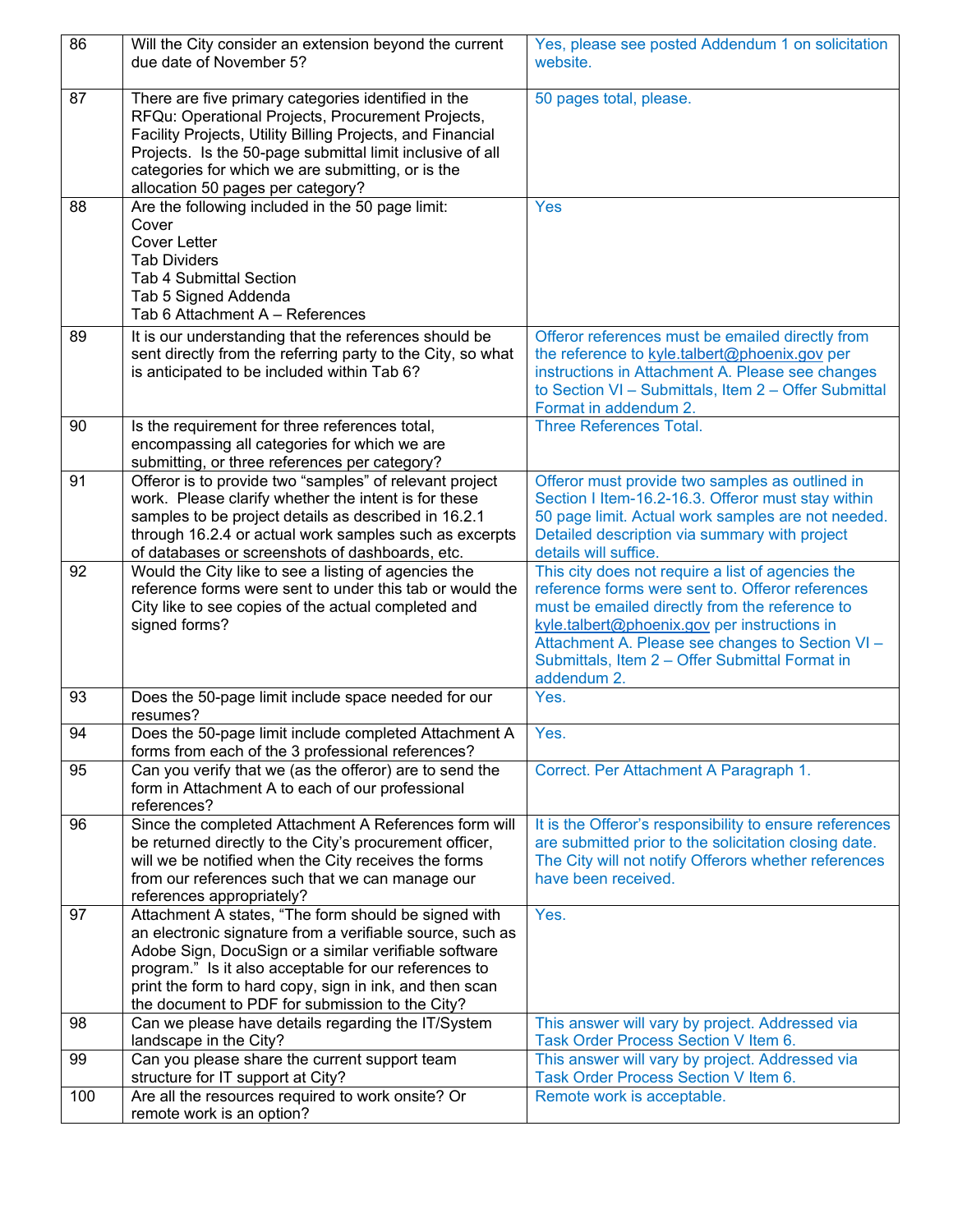| 86  | Will the City consider an extension beyond the current<br>due date of November 5?                                                                                                                                                                                                                                                                 | Yes, please see posted Addendum 1 on solicitation<br>website.                                                                                                                                                                                            |
|-----|---------------------------------------------------------------------------------------------------------------------------------------------------------------------------------------------------------------------------------------------------------------------------------------------------------------------------------------------------|----------------------------------------------------------------------------------------------------------------------------------------------------------------------------------------------------------------------------------------------------------|
| 87  | There are five primary categories identified in the<br>RFQu: Operational Projects, Procurement Projects,<br>Facility Projects, Utility Billing Projects, and Financial<br>Projects. Is the 50-page submittal limit inclusive of all<br>categories for which we are submitting, or is the<br>allocation 50 pages per category?                     | 50 pages total, please.                                                                                                                                                                                                                                  |
| 88  | Are the following included in the 50 page limit:                                                                                                                                                                                                                                                                                                  | <b>Yes</b>                                                                                                                                                                                                                                               |
|     | Cover<br><b>Cover Letter</b>                                                                                                                                                                                                                                                                                                                      |                                                                                                                                                                                                                                                          |
|     | <b>Tab Dividers</b>                                                                                                                                                                                                                                                                                                                               |                                                                                                                                                                                                                                                          |
|     | <b>Tab 4 Submittal Section</b><br>Tab 5 Signed Addenda                                                                                                                                                                                                                                                                                            |                                                                                                                                                                                                                                                          |
|     | Tab 6 Attachment A - References                                                                                                                                                                                                                                                                                                                   |                                                                                                                                                                                                                                                          |
| 89  | It is our understanding that the references should be                                                                                                                                                                                                                                                                                             | Offeror references must be emailed directly from                                                                                                                                                                                                         |
|     | sent directly from the referring party to the City, so what                                                                                                                                                                                                                                                                                       | the reference to kyle.talbert@phoenix.gov per<br>instructions in Attachment A. Please see changes                                                                                                                                                        |
|     | is anticipated to be included within Tab 6?                                                                                                                                                                                                                                                                                                       | to Section VI - Submittals, Item 2 - Offer Submittal                                                                                                                                                                                                     |
|     |                                                                                                                                                                                                                                                                                                                                                   | Format in addendum 2.                                                                                                                                                                                                                                    |
| 90  | Is the requirement for three references total,<br>encompassing all categories for which we are                                                                                                                                                                                                                                                    | <b>Three References Total.</b>                                                                                                                                                                                                                           |
|     | submitting, or three references per category?                                                                                                                                                                                                                                                                                                     |                                                                                                                                                                                                                                                          |
| 91  | Offeror is to provide two "samples" of relevant project                                                                                                                                                                                                                                                                                           | Offeror must provide two samples as outlined in                                                                                                                                                                                                          |
|     | work. Please clarify whether the intent is for these                                                                                                                                                                                                                                                                                              | Section I Item-16.2-16.3. Offeror must stay within                                                                                                                                                                                                       |
|     | samples to be project details as described in 16.2.1<br>through 16.2.4 or actual work samples such as excerpts                                                                                                                                                                                                                                    | 50 page limit. Actual work samples are not needed.<br>Detailed description via summary with project                                                                                                                                                      |
|     | of databases or screenshots of dashboards, etc.                                                                                                                                                                                                                                                                                                   | details will suffice.                                                                                                                                                                                                                                    |
| 92  | Would the City like to see a listing of agencies the                                                                                                                                                                                                                                                                                              | This city does not require a list of agencies the                                                                                                                                                                                                        |
|     | reference forms were sent to under this tab or would the<br>City like to see copies of the actual completed and<br>signed forms?                                                                                                                                                                                                                  | reference forms were sent to. Offeror references<br>must be emailed directly from the reference to<br>kyle.talbert@phoenix.gov per instructions in<br>Attachment A. Please see changes to Section VI -<br>Submittals, Item 2 - Offer Submittal Format in |
|     |                                                                                                                                                                                                                                                                                                                                                   | addendum 2.                                                                                                                                                                                                                                              |
| 93  | Does the 50-page limit include space needed for our<br>resumes?                                                                                                                                                                                                                                                                                   | Yes.                                                                                                                                                                                                                                                     |
| 94  | Does the 50-page limit include completed Attachment A<br>forms from each of the 3 professional references?                                                                                                                                                                                                                                        | Yes.                                                                                                                                                                                                                                                     |
| 95  | Can you verify that we (as the offeror) are to send the<br>form in Attachment A to each of our professional<br>references?                                                                                                                                                                                                                        | Correct. Per Attachment A Paragraph 1.                                                                                                                                                                                                                   |
| 96  | Since the completed Attachment A References form will<br>be returned directly to the City's procurement officer,<br>will we be notified when the City receives the forms<br>from our references such that we can manage our<br>references appropriately?                                                                                          | It is the Offeror's responsibility to ensure references<br>are submitted prior to the solicitation closing date.<br>The City will not notify Offerors whether references<br>have been received.                                                          |
| 97  | Attachment A states, "The form should be signed with<br>an electronic signature from a verifiable source, such as<br>Adobe Sign, DocuSign or a similar verifiable software<br>program." Is it also acceptable for our references to<br>print the form to hard copy, sign in ink, and then scan<br>the document to PDF for submission to the City? | Yes.                                                                                                                                                                                                                                                     |
| 98  | Can we please have details regarding the IT/System                                                                                                                                                                                                                                                                                                | This answer will vary by project. Addressed via                                                                                                                                                                                                          |
| 99  | landscape in the City?<br>Can you please share the current support team                                                                                                                                                                                                                                                                           | Task Order Process Section V Item 6.<br>This answer will vary by project. Addressed via                                                                                                                                                                  |
|     | structure for IT support at City?                                                                                                                                                                                                                                                                                                                 | Task Order Process Section V Item 6.                                                                                                                                                                                                                     |
| 100 | Are all the resources required to work onsite? Or<br>remote work is an option?                                                                                                                                                                                                                                                                    | Remote work is acceptable.                                                                                                                                                                                                                               |